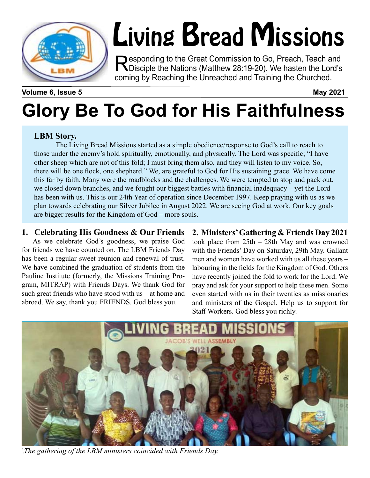

# Living Bread Missions

Responding to the Great Commission to Go, Preach, Teach and<br>
Disciple the Nations (Matthew 28:19-20). We hasten the Lord's coming by Reaching the Unreached and Training the Churched.

**Volume 6, Issue 5 May 2021**

## **Glory Be To God for His Faithfulness**

#### **LBM Story.**

The Living Bread Missions started as a simple obedience/response to God's call to reach to those under the enemy's hold spiritually, emotionally, and physically. The Lord was specific; "I have other sheep which are not of this fold; I must bring them also, and they will listen to my voice. So, there will be one flock, one shepherd." We, are grateful to God for His sustaining grace. We have come this far by faith. Many were the roadblocks and the challenges. We were tempted to stop and pack out, we closed down branches, and we fought our biggest battles with financial inadequacy – yet the Lord has been with us. This is our 24th Year of operation since December 1997. Keep praying with us as we plan towards celebrating our Silver Jubilee in August 2022. We are seeing God at work. Our key goals are bigger results for the Kingdom of God – more souls.

#### **1. Celebrating His Goodness & Our Friends**

As we celebrate God's goodness, we praise God for friends we have counted on. The LBM Friends Day has been a regular sweet reunion and renewal of trust. We have combined the graduation of students from the Pauline Institute (formerly, the Missions Training Program, MITRAP) with Friends Days. We thank God for such great friends who have stood with us – at home and abroad. We say, thank you FRIENDS. God bless you.

#### **2. Ministers' Gathering & Friends Day 2021**

took place from 25th – 28th May and was crowned with the Friends' Day on Saturday, 29th May. Gallant men and women have worked with us all these years – labouring in the fields for the Kingdom of God. Others have recently joined the fold to work for the Lord. We pray and ask for your support to help these men. Some even started with us in their twenties as missionaries and ministers of the Gospel. Help us to support for Staff Workers. God bless you richly.



*\The gathering of the LBM ministers coincided with Friends Day.*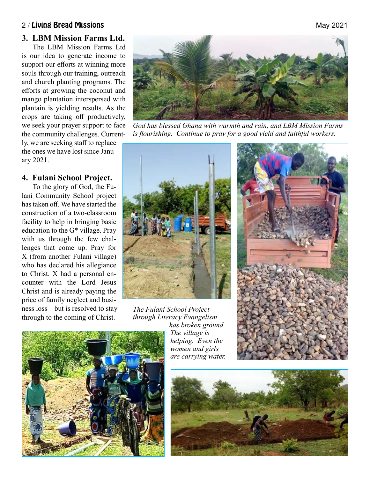#### 2 / Living Bread Missions **May 2021** 2021

#### **3. LBM Mission Farms Ltd.**

The LBM Mission Farms Ltd is our idea to generate income to support our efforts at winning more souls through our training, outreach and church planting programs. The efforts at growing the coconut and mango plantation interspersed with plantain is yielding results. As the crops are taking off productively, we seek your prayer support to face the community challenges. Current-

ly, we are seeking staff to replace the ones we have lost since January 2021.

#### **4. Fulani School Project.**

To the glory of God, the Fulani Community School project has taken off. We have started the construction of a two-classroom facility to help in bringing basic education to the G\* village. Pray with us through the few challenges that come up. Pray for X (from another Fulani village) who has declared his allegiance to Christ. X had a personal encounter with the Lord Jesus Christ and is already paying the price of family neglect and business loss – but is resolved to stay through to the coming of Christ.



*God has blessed Ghana with warmth and rain, and LBM Mission Farms is flourishing. Continue to pray for a good yield and faithful workers.*



*The Fulani School Project through Literacy Evangelism has broken ground. The village is helping. Even the* 

*women and girls are carrying water.*